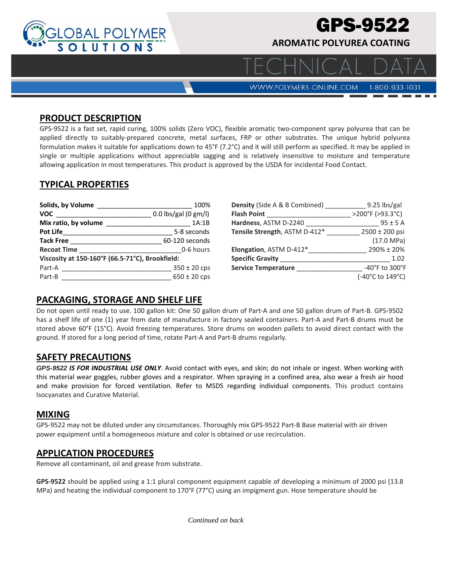

# GPS-9522

**AROMATIC POLYUREA COATING** 

WWW.POLYMERS-ONLINE.COM

## 1-800-933-1031

#### **PRODUCT DESCRIPTION**

GPS-9522 is a fast set, rapid curing, 100% solids (Zero VOC), flexible aromatic two-component spray polyurea that can be applied directly to suitably-prepared concrete, metal surfaces, FRP or other substrates. The unique hybrid polyurea formulation makes it suitable for applications down to 45°F (7.2°C) and it will still perform as specified. It may be applied in single or multiple applications without appreciable sagging and is relatively insensitive to moisture and temperature allowing application in most temperatures. This product is approved by the USDA for incidental Food Contact.

### **TYPICAL PROPERTIES**

| Solids, by Volume                               | 100%                   |  |
|-------------------------------------------------|------------------------|--|
| <b>VOC</b>                                      | $0.0$ lbs/gal (0 gm/l) |  |
| Mix ratio, by volume                            | 1A:1B                  |  |
| <b>Pot Life</b>                                 | 5-8 seconds            |  |
| <b>Tack Free</b>                                | 60-120 seconds         |  |
| <b>Recoat Time</b>                              | 0-6 hours              |  |
| Viscosity at 150-160°F (66.5-71°C), Brookfield: |                        |  |
| Part-A                                          | $350 \pm 20$ cps       |  |
| Part-B                                          | $650 \pm 20$ cps       |  |

| <b>Density</b> (Side A & B Combined) | 9.25 lbs/gal                        |
|--------------------------------------|-------------------------------------|
| <b>Flash Point</b>                   | >200°F (>93.3°C)                    |
| Hardness, ASTM D-2240                | $95 \pm 5$ A                        |
| Tensile Strength, ASTM D-412*        | 2500 ± 200 psi                      |
|                                      | $(17.0 \text{ MPa})$                |
| Elongation, ASTM D-412*              | 290% ± 20%                          |
| <b>Specific Gravity</b>              | 1.02                                |
| <b>Service Temperature</b>           | $-40^{\circ}$ F to 300 $^{\circ}$ F |
|                                      | (-40°C to 149°C)                    |

#### **PACKAGING, STORAGE AND SHELF LIFE**

Do not open until ready to use. 100 gallon kit: One 50 gallon drum of Part‐A and one 50 gallon drum of Part‐B. GPS‐9502 has a shelf life of one (1) year from date of manufacture in factory sealed containers. Part-A and Part-B drums must be stored above 60°F (15°C). Avoid freezing temperatures. Store drums on wooden pallets to avoid direct contact with the ground. If stored for a long period of time, rotate Part‐A and Part‐B drums regularly.

#### **SAFETY PRECAUTIONS**

*GPS-9522 IS FOR INDUSTRIAL USE ONLY*. Avoid contact with eyes, and skin; do not inhale or ingest. When working with this material wear goggles, rubber gloves and a respirator. When spraying in a confined area, also wear a fresh air hood and make provision for forced ventilation. Refer to MSDS regarding individual components. This product contains Isocyanates and Curative Material.

#### **MIXING**

GPS‐9522 may not be diluted under any circumstances. Thoroughly mix GPS‐9522 Part‐B Base material with air driven power equipment until a homogeneous mixture and color is obtained or use recirculation.

#### **APPLICATION PROCEDURES**

Remove all contaminant, oil and grease from substrate.

**GPS‐9522** should be applied using a 1:1 plural component equipment capable of developing a minimum of 2000 psi (13.8 MPa) and heating the individual component to 170°F (77°C) using an impigment gun. Hose temperature should be